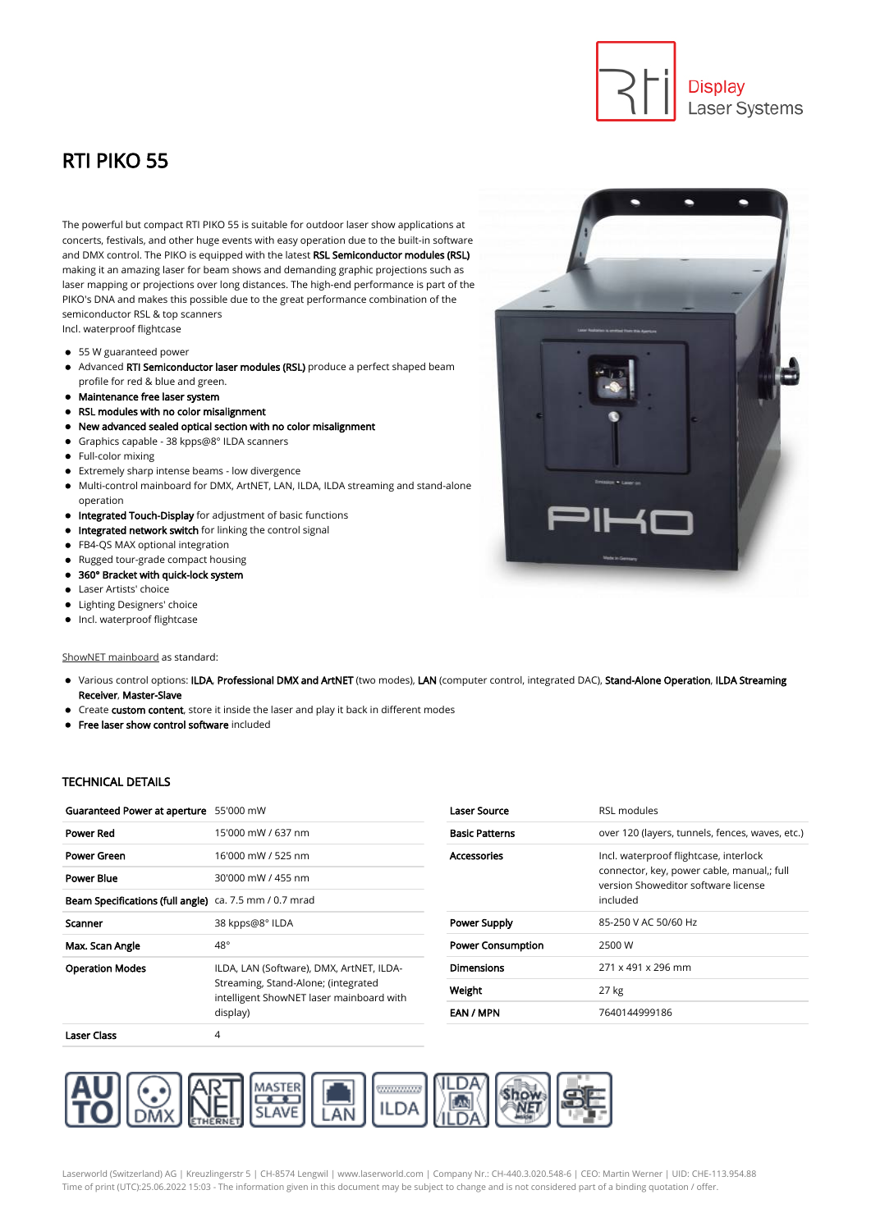## RTI PIKO 55

The powerful but compact RTI PIKO 55 is suitable for outdoor laser show applications at concerts, festivals, and other huge events with easy operation due to the built-in software and DMX control. The PIKO is equipped with the latest RSL Semiconductor modules (RSL) making it an amazing laser for beam shows and demanding graphic projections such as laser mapping or projections over long distances. The high-end performance is part of the PIKO's DNA and makes this possible due to the great performance combination of the semiconductor RSL & top scanners Incl. waterproof flightcase

- 55 W guaranteed power
- Advanced RTI Semiconductor laser modules (RSL) produce a perfect shaped beam profile for red & blue and green.
- Maintenance free laser system
- RSL modules with no color misalignment
- New advanced sealed optical section with no color misalignment  $\bullet$
- Graphics capable 38 kpps@8° ILDA scanners
- Full-color mixing
- Extremely sharp intense beams low divergence
- Multi-control mainboard for DMX, ArtNET, LAN, ILDA, ILDA streaming and stand-alone operation
- $\bullet$  Integrated Touch-Display for adjustment of basic functions
- Integrated network switch for linking the control signal
- FB4-QS MAX optional integration
- Rugged tour-grade compact housing
- 360° Bracket with quick-lock system  $\bullet$
- Laser Artists' choice  $\bullet$
- Lighting Designers' choice
- $\bullet$  Incl. waterproof flightcase

[ShowNET mainboard](https://www.laserworld.com/en/shownet) as standard:

- Various control options: ILDA, Professional DMX and ArtNET (two modes), LAN (computer control, integrated DAC), Stand-Alone Operation, ILDA Streaming Receiver, Master-Slave
- Create custom content, store it inside the laser and play it back in different modes
- **•** Free laser show control software included

## TECHNICAL DETAILS

| Guaranteed Power at aperture 55'000 mW                        |                                                                                                                                         |
|---------------------------------------------------------------|-----------------------------------------------------------------------------------------------------------------------------------------|
| <b>Power Red</b>                                              | 15'000 mW / 637 nm                                                                                                                      |
| Power Green                                                   | 16'000 mW / 525 nm                                                                                                                      |
| <b>Power Blue</b>                                             | 30'000 mW / 455 nm                                                                                                                      |
| <b>Beam Specifications (full angle)</b> ca. 7.5 mm / 0.7 mrad |                                                                                                                                         |
| Scanner                                                       | 38 kpps@8° ILDA                                                                                                                         |
| Max. Scan Angle                                               | 48°                                                                                                                                     |
| <b>Operation Modes</b>                                        | ILDA, LAN (Software), DMX, ArtNET, ILDA-<br>Streaming, Stand-Alone; (integrated<br>intelligent ShowNET laser mainboard with<br>display) |
| Laser Class                                                   | 4                                                                                                                                       |

| <b>Laser Source</b>      | RSI modules                                                                                                                             |
|--------------------------|-----------------------------------------------------------------------------------------------------------------------------------------|
| <b>Basic Patterns</b>    | over 120 (layers, tunnels, fences, waves, etc.)                                                                                         |
| <b>Accessories</b>       | Incl. waterproof flightcase, interlock<br>connector, key, power cable, manual,; full<br>version Showeditor software license<br>included |
| <b>Power Supply</b>      | 85-250 V AC 50/60 Hz                                                                                                                    |
| <b>Power Consumption</b> | 2500 W                                                                                                                                  |
| <b>Dimensions</b>        | 271 x 491 x 296 mm                                                                                                                      |
| Weight                   | 27 kg                                                                                                                                   |
| EAN / MPN                | 7640144999186                                                                                                                           |





**Display** 

Laser Systems